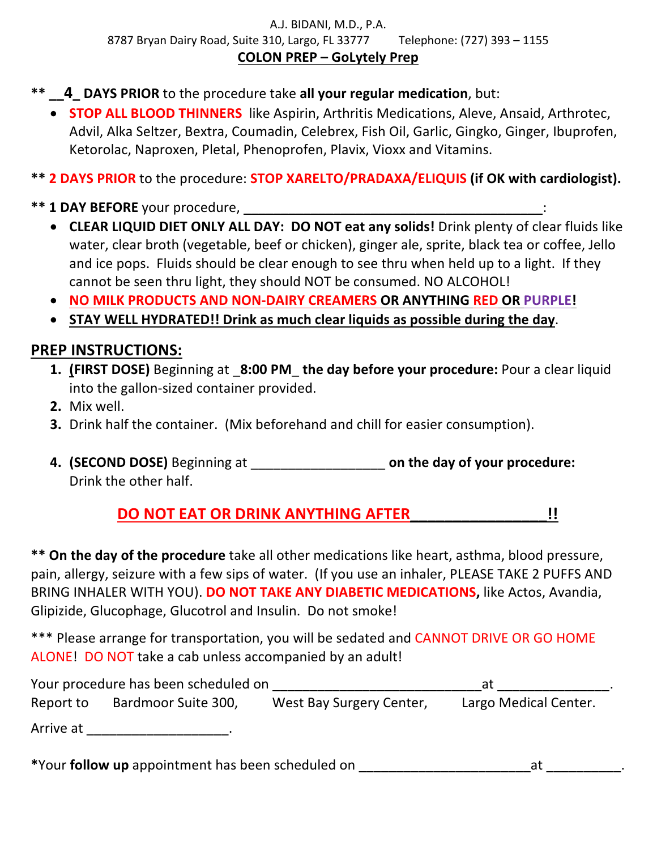### A.J. BIDANI, M.D., P.A. 8787 Bryan Dairy Road, Suite 310, Largo, FL 33777 Telephone:  $(727)$  393 - 1155 **COLON PREP – GoLytely Prep**

- \*\* **4 DAYS PRIOR** to the procedure take all your regular medication, but:
	- **STOP ALL BLOOD THINNERS** like Aspirin, Arthritis Medications, Aleve, Ansaid, Arthrotec, Advil, Alka Seltzer, Bextra, Coumadin, Celebrex, Fish Oil, Garlic, Gingko, Ginger, Ibuprofen, Ketorolac, Naproxen, Pletal, Phenoprofen, Plavix, Vioxx and Vitamins.

**\*\* 2 DAYS PRIOR** to the procedure: **STOP XARELTO/PRADAXA/ELIQUIS (if OK with cardiologist).** 

- **\*\* 1 DAY BEFORE** your procedure,
	- CLEAR LIQUID DIET ONLY ALL DAY: DO NOT eat any solids! Drink plenty of clear fluids like water, clear broth (vegetable, beef or chicken), ginger ale, sprite, black tea or coffee, Jello and ice pops. Fluids should be clear enough to see thru when held up to a light. If they cannot be seen thru light, they should NOT be consumed. NO ALCOHOL!
	- **NO MILK PRODUCTS AND NON-DAIRY CREAMERS OR ANYTHING RED OR PURPLE!**
	- **STAY WELL HYDRATED!!** Drink as much clear liquids as possible during the day.

## **PREP INSTRUCTIONS:**

- 1. **(FIRST DOSE)** Beginning at 8:00 PM the day before your procedure: Pour a clear liquid into the gallon-sized container provided.
- **2.** Mix well.
- **3.** Drink half the container. (Mix beforehand and chill for easier consumption).
- **4. (SECOND DOSE)** Beginning at \_\_\_\_\_\_\_\_\_\_\_\_\_\_\_\_\_\_ **on the day of your procedure:**  Drink the other half.

**DO NOT EAT OR DRINK ANYTHING AFTER [1]** 

\*\* On the day of the procedure take all other medications like heart, asthma, blood pressure, pain, allergy, seizure with a few sips of water. (If you use an inhaler, PLEASE TAKE 2 PUFFS AND BRING INHALER WITH YOU). DO NOT TAKE ANY DIABETIC MEDICATIONS, like Actos, Avandia, Glipizide, Glucophage, Glucotrol and Insulin. Do not smoke!

\*\*\* Please arrange for transportation, you will be sedated and CANNOT DRIVE OR GO HOME ALONE! DO NOT take a cab unless accompanied by an adult!

| Your procedure has been scheduled on |                     |                          | at                    |  |
|--------------------------------------|---------------------|--------------------------|-----------------------|--|
| Report to                            | Bardmoor Suite 300, | West Bay Surgery Center, | Largo Medical Center. |  |
| Arrive at                            |                     |                          |                       |  |

**\***Your **follow up** appointment has been scheduled on \_\_\_\_\_\_\_\_\_\_\_\_\_\_\_\_\_\_\_\_\_\_\_at \_\_\_\_\_\_\_\_\_\_.